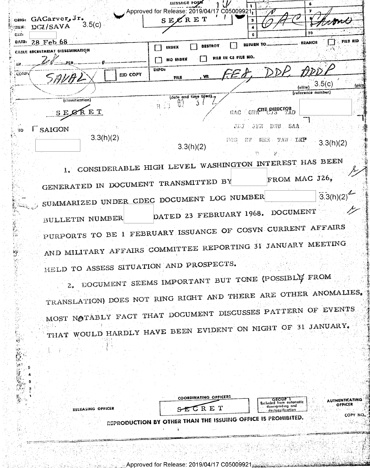|                                                    |                                 |                 | Approved for Release: 2019/04/17 C05009921, |                       |                     |                          |                                  |          |
|----------------------------------------------------|---------------------------------|-----------------|---------------------------------------------|-----------------------|---------------------|--------------------------|----------------------------------|----------|
| ORIG:                                              | GACarver, Jr.                   |                 | $SE\mathcal{L}$ RET                         |                       | з                   |                          |                                  |          |
| $\langle \mathbf{U} \mathbf{H} \mathbf{S} \rangle$ | $-3.5(c)$<br>DGI/SAVA           |                 |                                             |                       |                     |                          |                                  |          |
| CHIL                                               |                                 |                 |                                             |                       |                     |                          | -10                              |          |
| Date:                                              | $28$ Feb $68$                   |                 | index                                       | DESTROY               |                     | REFURN TO.               | <b>BRANCH</b>                    | Fils and |
|                                                    | CADLE SECRETARIAT DISSEMINATION |                 |                                             |                       |                     |                          |                                  |          |
|                                                    |                                 |                 | NO INDEX                                    |                       | PILE IN C3 FILE NO. |                          |                                  |          |
| <b>微看。</b>                                         |                                 |                 | INFO:                                       |                       |                     | FED DDP ADDI             |                                  |          |
| COMPY                                              | SAVAL                           | <b>EID COPY</b> | 萨扎克                                         | , va                  |                     |                          |                                  |          |
|                                                    |                                 |                 |                                             |                       |                     |                          | $\frac{1}{(d) \cdot (d)}$ 3.5(c) | fpica    |
|                                                    |                                 |                 |                                             |                       |                     |                          | (reference number)               |          |
|                                                    | (classification)                |                 | ij9                                         | (date and time tiled) |                     |                          |                                  |          |
|                                                    |                                 |                 |                                             |                       |                     | GAO GWACTE SISECTRED     |                                  |          |
|                                                    | SECRET                          |                 |                                             |                       |                     |                          |                                  |          |
|                                                    |                                 |                 |                                             |                       |                     | SAA<br>JDJ JER DWB       |                                  |          |
| 70                                                 | SAIGON                          |                 |                                             |                       |                     |                          |                                  |          |
|                                                    | 3.3(h)(2)                       |                 |                                             |                       | HGB                 | TAW LKP<br><b>BT MEE</b> |                                  |          |
|                                                    |                                 |                 |                                             | 3.3(h)(2)             |                     |                          | 3.3(h)(2)                        |          |
|                                                    |                                 |                 |                                             |                       |                     |                          |                                  |          |

CONSIDERABLE HIGH LEVEL WASHINGTON INTEREST HAS BEEN FROM MAC J26, GENERATED IN DOCUMENT TRANSMITTED BY SUMMARIZED UNDER CDEC DOCUMENT LOG NUMBER  $-3.3(h)(2)$ DATED 23 FEBRUARY 1968. DOCUMENT BULLETIN NUMBER PURPORTS TO BE 1 FEBRUARY ISSUANCE OF COSVN CURRENT AFFAIRS AND MILITARY AFFAIRS COMMITTEE REPORTING 31 JANUARY MEETING HELD TO ASSESS SITUATION AND PROSPECTS.

2. DOCUMENT SEEMS IMPORTANT BUT TONE (POSSIBLY FROM TRANSLATION) DOES NOT RING RIGHT AND THERE ARE OTHER ANOMALIES. MOST NOTABLY FACT THAT DOCUMENT DISCUSSES PATTERN OF EVENTS THAT WOULD HARDLY HAVE BEEN EVIDENT ON NIGHT OF 31 JANUARY.

|            | COORDINATING OFFICERS                                                            | <b>AUTHENTICATING</b><br>どうむりゃ                                             |
|------------|----------------------------------------------------------------------------------|----------------------------------------------------------------------------|
| NG OFFICER | SECRET                                                                           | ' Excluded from automatic<br>OFFICER<br>downarodina and<br>- Loccification |
|            | <b>EXAMPLE 20 ASSESSMENT OF A SET OF A SET OF A SET OF FIGURE 15 PROMIBITED.</b> | COPY NO                                                                    |